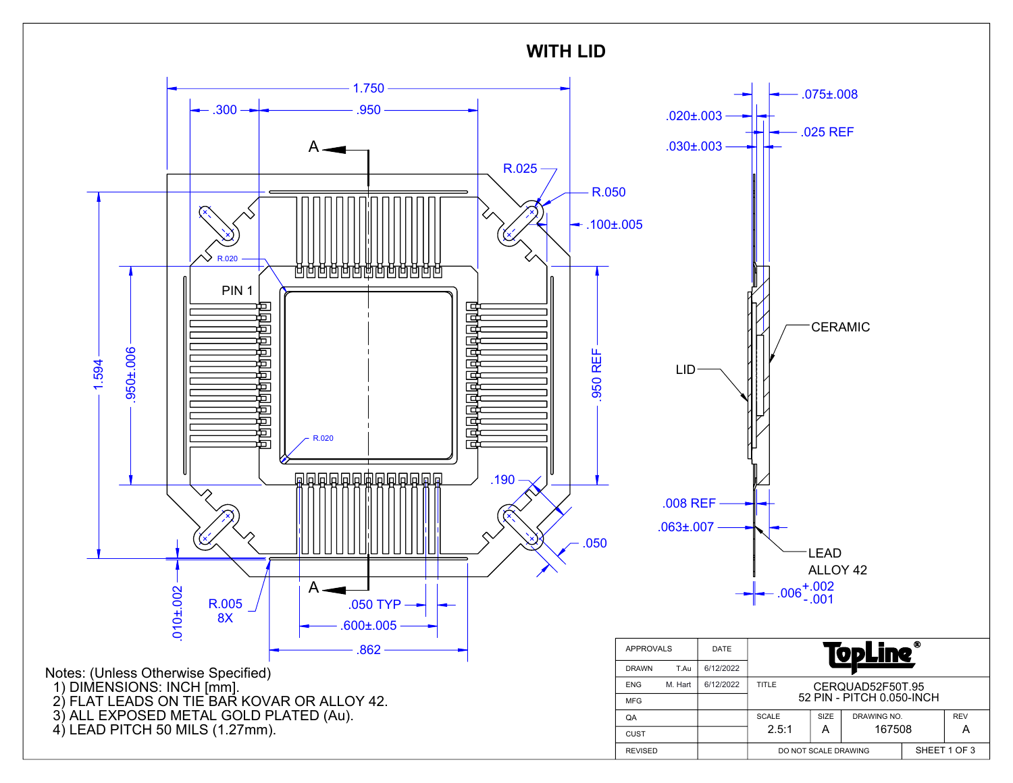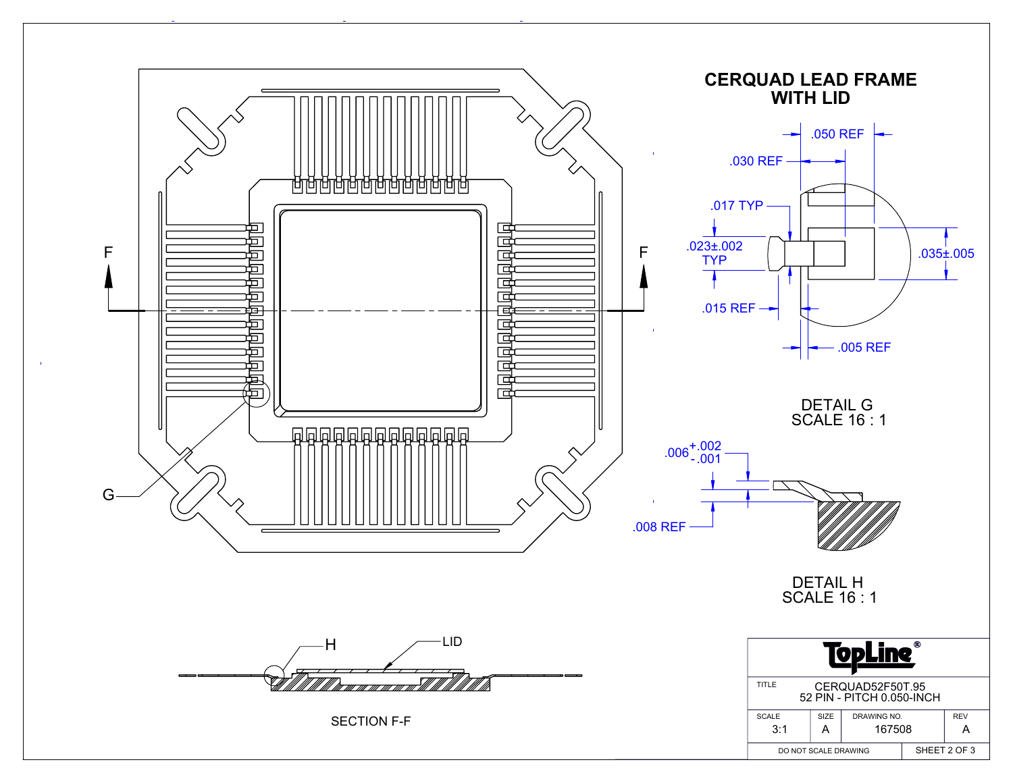